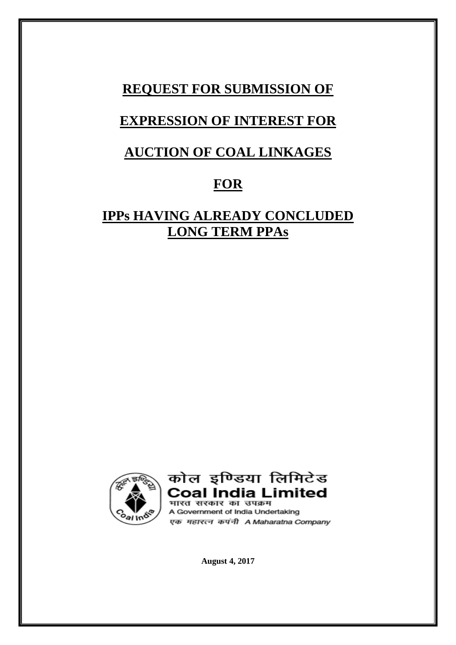## **REQUEST FOR SUBMISSION OF**

# **EXPRESSION OF INTEREST FOR**

# **AUCTION OF COAL LINKAGES**

## **FOR**

# **IPPs HAVING ALREADY CONCLUDED LONG TERM PPAs**





A Government of India Undertaking एक महारत्न कपंनी A Maharatna Company

**August 4, 2017**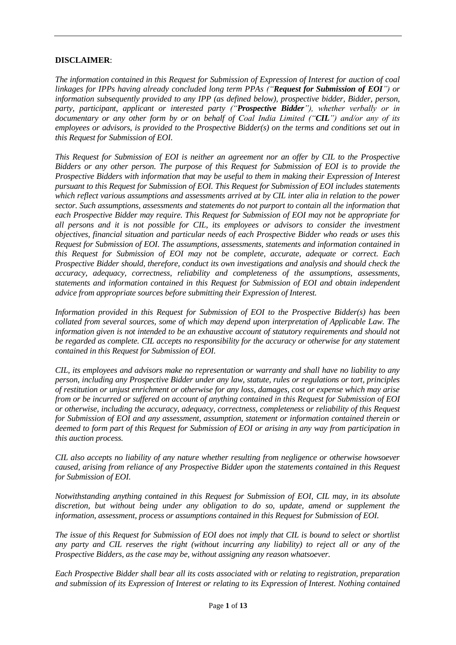#### **DISCLAIMER**:

*The information contained in this Request for Submission of Expression of Interest for auction of coal linkages for IPPs having already concluded long term PPAs ("Request for Submission of EOI") or information subsequently provided to any IPP (as defined below), prospective bidder, Bidder, person, party, participant, applicant or interested party ("Prospective Bidder"), whether verbally or in documentary or any other form by or on behalf of Coal India Limited ("CIL") and/or any of its employees or advisors, is provided to the Prospective Bidder(s) on the terms and conditions set out in this Request for Submission of EOI.*

*This Request for Submission of EOI is neither an agreement nor an offer by CIL to the Prospective Bidders or any other person. The purpose of this Request for Submission of EOI is to provide the Prospective Bidders with information that may be useful to them in making their Expression of Interest pursuant to this Request for Submission of EOI. This Request for Submission of EOI includes statements which reflect various assumptions and assessments arrived at by CIL inter alia in relation to the power sector. Such assumptions, assessments and statements do not purport to contain all the information that each Prospective Bidder may require. This Request for Submission of EOI may not be appropriate for all persons and it is not possible for CIL, its employees or advisors to consider the investment objectives, financial situation and particular needs of each Prospective Bidder who reads or uses this Request for Submission of EOI. The assumptions, assessments, statements and information contained in this Request for Submission of EOI may not be complete, accurate, adequate or correct. Each Prospective Bidder should, therefore, conduct its own investigations and analysis and should check the accuracy, adequacy, correctness, reliability and completeness of the assumptions, assessments, statements and information contained in this Request for Submission of EOI and obtain independent advice from appropriate sources before submitting their Expression of Interest.*

*Information provided in this Request for Submission of EOI to the Prospective Bidder(s) has been collated from several sources, some of which may depend upon interpretation of Applicable Law. The information given is not intended to be an exhaustive account of statutory requirements and should not be regarded as complete. CIL accepts no responsibility for the accuracy or otherwise for any statement contained in this Request for Submission of EOI.*

*CIL, its employees and advisors make no representation or warranty and shall have no liability to any person, including any Prospective Bidder under any law, statute, rules or regulations or tort, principles of restitution or unjust enrichment or otherwise for any loss, damages, cost or expense which may arise from or be incurred or suffered on account of anything contained in this Request for Submission of EOI or otherwise, including the accuracy, adequacy, correctness, completeness or reliability of this Request for Submission of EOI and any assessment, assumption, statement or information contained therein or deemed to form part of this Request for Submission of EOI or arising in any way from participation in this auction process.*

*CIL also accepts no liability of any nature whether resulting from negligence or otherwise howsoever caused, arising from reliance of any Prospective Bidder upon the statements contained in this Request for Submission of EOI.*

*Notwithstanding anything contained in this Request for Submission of EOI, CIL may, in its absolute discretion, but without being under any obligation to do so, update, amend or supplement the information, assessment, process or assumptions contained in this Request for Submission of EOI.*

*The issue of this Request for Submission of EOI does not imply that CIL is bound to select or shortlist any party and CIL reserves the right (without incurring any liability) to reject all or any of the Prospective Bidders, as the case may be, without assigning any reason whatsoever.*

*Each Prospective Bidder shall bear all its costs associated with or relating to registration, preparation and submission of its Expression of Interest or relating to its Expression of Interest. Nothing contained*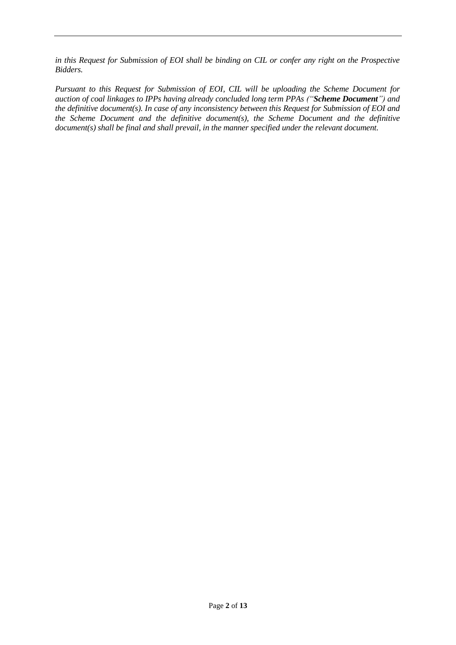*in this Request for Submission of EOI shall be binding on CIL or confer any right on the Prospective Bidders.*

*Pursuant to this Request for Submission of EOI, CIL will be uploading the Scheme Document for auction of coal linkages to IPPs having already concluded long term PPAs ("Scheme Document") and the definitive document(s). In case of any inconsistency between this Request for Submission of EOI and the Scheme Document and the definitive document(s), the Scheme Document and the definitive document(s) shall be final and shall prevail, in the manner specified under the relevant document.*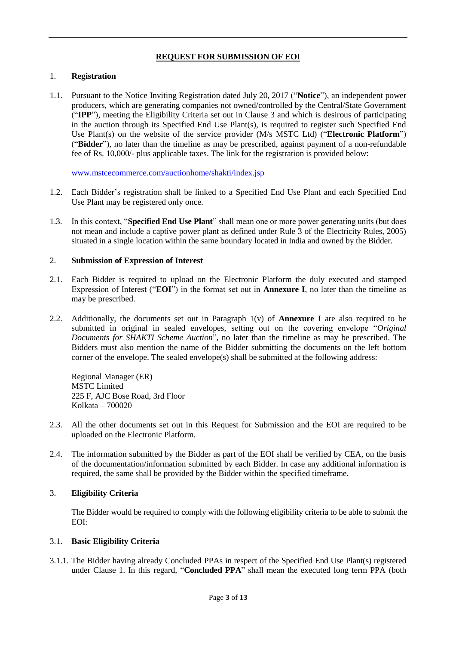## **REQUEST FOR SUBMISSION OF EOI**

#### 1. **Registration**

1.1. Pursuant to the Notice Inviting Registration dated July 20, 2017 ("**Notice**"), an independent power producers, which are generating companies not owned/controlled by the Central/State Government ("**IPP**"), meeting the Eligibility Criteria set out in Clause 3 and which is desirous of participating in the auction through its Specified End Use Plant(s), is required to register such Specified End Use Plant(s) on the website of the service provider (M/s MSTC Ltd) ("**Electronic Platform**") ("**Bidder**"), no later than the timeline as may be prescribed, against payment of a non-refundable fee of Rs. 10,000/- plus applicable taxes. The link for the registration is provided below:

[www.mstcecommerce.com/auctionhome/shakti/index.jsp](http://www.mstcecommerce.com/auctionhome/shakti/index.jsp)

- 1.2. Each Bidder's registration shall be linked to a Specified End Use Plant and each Specified End Use Plant may be registered only once.
- 1.3. In this context, "**Specified End Use Plant**" shall mean one or more power generating units (but does not mean and include a captive power plant as defined under Rule 3 of the Electricity Rules, 2005) situated in a single location within the same boundary located in India and owned by the Bidder.

#### 2. **Submission of Expression of Interest**

- 2.1. Each Bidder is required to upload on the Electronic Platform the duly executed and stamped Expression of Interest ("**EOI**") in the format set out in **Annexure I**, no later than the timeline as may be prescribed.
- 2.2. Additionally, the documents set out in Paragraph 1(v) of **Annexure I** are also required to be submitted in original in sealed envelopes, setting out on the covering envelope "*Original Documents for SHAKTI Scheme Auction*", no later than the timeline as may be prescribed. The Bidders must also mention the name of the Bidder submitting the documents on the left bottom corner of the envelope. The sealed envelope(s) shall be submitted at the following address:

Regional Manager (ER) MSTC Limited 225 F, AJC Bose Road, 3rd Floor Kolkata – 700020

- 2.3. All the other documents set out in this Request for Submission and the EOI are required to be uploaded on the Electronic Platform.
- 2.4. The information submitted by the Bidder as part of the EOI shall be verified by CEA, on the basis of the documentation/information submitted by each Bidder. In case any additional information is required, the same shall be provided by the Bidder within the specified timeframe.

## 3. **Eligibility Criteria**

The Bidder would be required to comply with the following eligibility criteria to be able to submit the EOI:

## 3.1. **Basic Eligibility Criteria**

3.1.1. The Bidder having already Concluded PPAs in respect of the Specified End Use Plant(s) registered under Clause 1. In this regard, "**Concluded PPA**" shall mean the executed long term PPA (both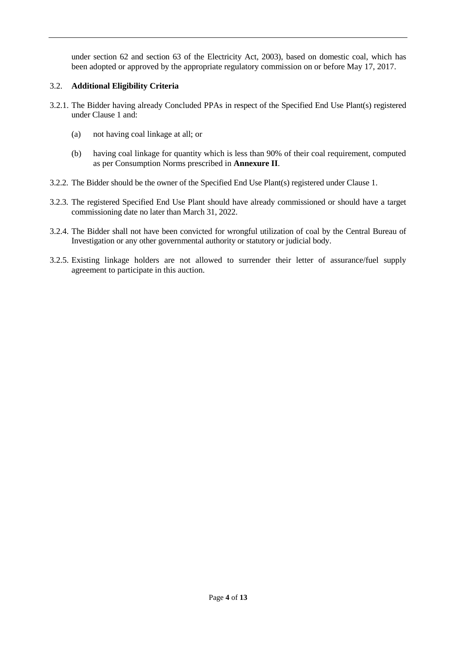under section 62 and section 63 of the Electricity Act, 2003), based on domestic coal, which has been adopted or approved by the appropriate regulatory commission on or before May 17, 2017.

## 3.2. **Additional Eligibility Criteria**

- 3.2.1. The Bidder having already Concluded PPAs in respect of the Specified End Use Plant(s) registered under Clause 1 and:
	- (a) not having coal linkage at all; or
	- (b) having coal linkage for quantity which is less than 90% of their coal requirement, computed as per Consumption Norms prescribed in **Annexure II**.
- 3.2.2. The Bidder should be the owner of the Specified End Use Plant(s) registered under Clause 1.
- 3.2.3. The registered Specified End Use Plant should have already commissioned or should have a target commissioning date no later than March 31, 2022.
- 3.2.4. The Bidder shall not have been convicted for wrongful utilization of coal by the Central Bureau of Investigation or any other governmental authority or statutory or judicial body.
- 3.2.5. Existing linkage holders are not allowed to surrender their letter of assurance/fuel supply agreement to participate in this auction.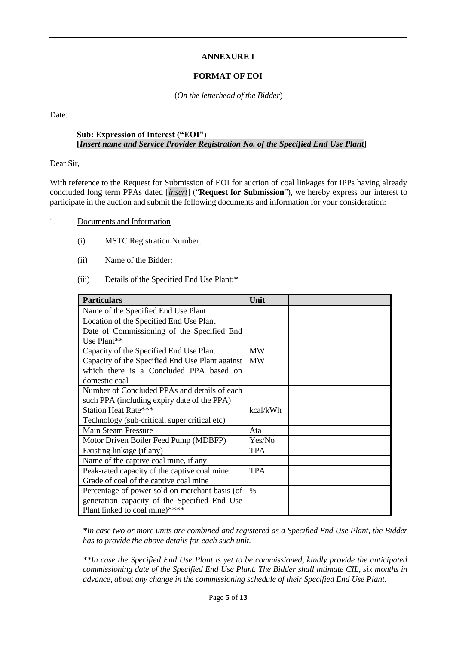## **ANNEXURE I**

## **FORMAT OF EOI**

(*On the letterhead of the Bidder*)

Date:

### **Sub: Expression of Interest ("EOI") [***Insert name and Service Provider Registration No. of the Specified End Use Plant***]**

Dear Sir,

With reference to the Request for Submission of EOI for auction of coal linkages for IPPs having already concluded long term PPAs dated [*insert*] ("**Request for Submission**"), we hereby express our interest to participate in the auction and submit the following documents and information for your consideration:

- 1. Documents and Information
	- (i) MSTC Registration Number:
	- (ii) Name of the Bidder:
	- (iii) Details of the Specified End Use Plant:\*

| <b>Particulars</b>                              | Unit       |
|-------------------------------------------------|------------|
| Name of the Specified End Use Plant             |            |
| Location of the Specified End Use Plant         |            |
| Date of Commissioning of the Specified End      |            |
| Use Plant**                                     |            |
| Capacity of the Specified End Use Plant         | <b>MW</b>  |
| Capacity of the Specified End Use Plant against | <b>MW</b>  |
| which there is a Concluded PPA based on         |            |
| domestic coal                                   |            |
| Number of Concluded PPAs and details of each    |            |
| such PPA (including expiry date of the PPA)     |            |
| <b>Station Heat Rate***</b>                     | kcal/kWh   |
| Technology (sub-critical, super critical etc)   |            |
| <b>Main Steam Pressure</b>                      | Ata        |
| Motor Driven Boiler Feed Pump (MDBFP)           | Yes/No     |
| Existing linkage (if any)                       | <b>TPA</b> |
| Name of the captive coal mine, if any           |            |
| Peak-rated capacity of the captive coal mine    | <b>TPA</b> |
| Grade of coal of the captive coal mine          |            |
| Percentage of power sold on merchant basis (of  | $\%$       |
| generation capacity of the Specified End Use    |            |
| Plant linked to coal mine)****                  |            |

*\*In case two or more units are combined and registered as a Specified End Use Plant, the Bidder has to provide the above details for each such unit.*

*\*\*In case the Specified End Use Plant is yet to be commissioned, kindly provide the anticipated commissioning date of the Specified End Use Plant. The Bidder shall intimate CIL, six months in advance, about any change in the commissioning schedule of their Specified End Use Plant.*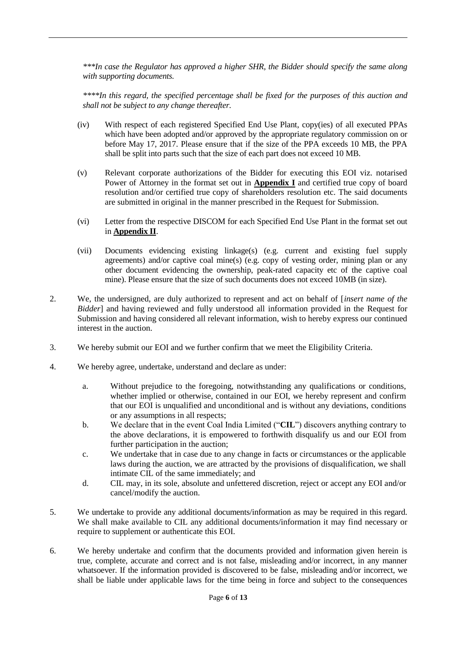*\*\*\*In case the Regulator has approved a higher SHR, the Bidder should specify the same along with supporting documents.*

*\*\*\*\*In this regard, the specified percentage shall be fixed for the purposes of this auction and shall not be subject to any change thereafter.*

- (iv) With respect of each registered Specified End Use Plant, copy(ies) of all executed PPAs which have been adopted and/or approved by the appropriate regulatory commission on or before May 17, 2017. Please ensure that if the size of the PPA exceeds 10 MB, the PPA shall be split into parts such that the size of each part does not exceed 10 MB.
- (v) Relevant corporate authorizations of the Bidder for executing this EOI viz. notarised Power of Attorney in the format set out in **Appendix I** and certified true copy of board resolution and/or certified true copy of shareholders resolution etc. The said documents are submitted in original in the manner prescribed in the Request for Submission.
- (vi) Letter from the respective DISCOM for each Specified End Use Plant in the format set out in **Appendix II**.
- (vii) Documents evidencing existing linkage(s) (e.g. current and existing fuel supply agreements) and/or captive coal mine(s) (e.g. copy of vesting order, mining plan or any other document evidencing the ownership, peak-rated capacity etc of the captive coal mine). Please ensure that the size of such documents does not exceed 10MB (in size).
- 2. We, the undersigned, are duly authorized to represent and act on behalf of [*insert name of the Bidder*] and having reviewed and fully understood all information provided in the Request for Submission and having considered all relevant information, wish to hereby express our continued interest in the auction.
- 3. We hereby submit our EOI and we further confirm that we meet the Eligibility Criteria.
- 4. We hereby agree, undertake, understand and declare as under:
	- a. Without prejudice to the foregoing, notwithstanding any qualifications or conditions, whether implied or otherwise, contained in our EOI, we hereby represent and confirm that our EOI is unqualified and unconditional and is without any deviations, conditions or any assumptions in all respects;
	- b. We declare that in the event Coal India Limited ("**CIL**") discovers anything contrary to the above declarations, it is empowered to forthwith disqualify us and our EOI from further participation in the auction;
	- c. We undertake that in case due to any change in facts or circumstances or the applicable laws during the auction, we are attracted by the provisions of disqualification, we shall intimate CIL of the same immediately; and
	- d. CIL may, in its sole, absolute and unfettered discretion, reject or accept any EOI and/or cancel/modify the auction.
- 5. We undertake to provide any additional documents/information as may be required in this regard. We shall make available to CIL any additional documents/information it may find necessary or require to supplement or authenticate this EOI.
- 6. We hereby undertake and confirm that the documents provided and information given herein is true, complete, accurate and correct and is not false, misleading and/or incorrect, in any manner whatsoever. If the information provided is discovered to be false, misleading and/or incorrect, we shall be liable under applicable laws for the time being in force and subject to the consequences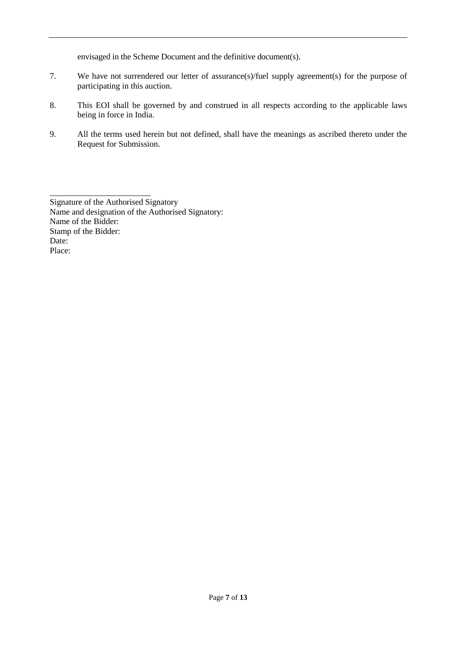envisaged in the Scheme Document and the definitive document(s).

- 7. We have not surrendered our letter of assurance(s)/fuel supply agreement(s) for the purpose of participating in this auction.
- 8. This EOI shall be governed by and construed in all respects according to the applicable laws being in force in India.
- 9. All the terms used herein but not defined, shall have the meanings as ascribed thereto under the Request for Submission.

Signature of the Authorised Signatory Name and designation of the Authorised Signatory: Name of the Bidder: Stamp of the Bidder: Date: Place:

\_\_\_\_\_\_\_\_\_\_\_\_\_\_\_\_\_\_\_\_\_\_\_\_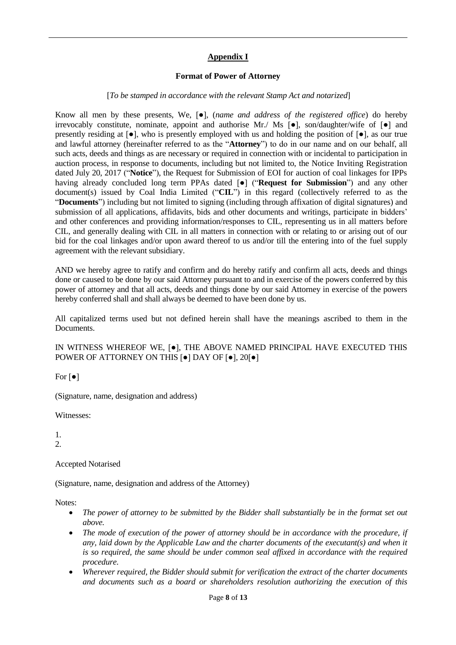## **Appendix I**

#### **Format of Power of Attorney**

#### [*To be stamped in accordance with the relevant Stamp Act and notarized*]

Know all men by these presents, We, [●], (*name and address of the registered office*) do hereby irrevocably constitute, nominate, appoint and authorise Mr./ Ms  $\bullet$ , son/daughter/wife of  $\bullet$  and presently residing at [●], who is presently employed with us and holding the position of [●], as our true and lawful attorney (hereinafter referred to as the "**Attorney**") to do in our name and on our behalf, all such acts, deeds and things as are necessary or required in connection with or incidental to participation in auction process, in response to documents, including but not limited to, the Notice Inviting Registration dated July 20, 2017 ("**Notice**"), the Request for Submission of EOI for auction of coal linkages for IPPs having already concluded long term PPAs dated [●] ("**Request for Submission**") and any other document(s) issued by Coal India Limited ("**CIL**") in this regard (collectively referred to as the "**Documents**") including but not limited to signing (including through affixation of digital signatures) and submission of all applications, affidavits, bids and other documents and writings, participate in bidders' and other conferences and providing information/responses to CIL, representing us in all matters before CIL, and generally dealing with CIL in all matters in connection with or relating to or arising out of our bid for the coal linkages and/or upon award thereof to us and/or till the entering into of the fuel supply agreement with the relevant subsidiary.

AND we hereby agree to ratify and confirm and do hereby ratify and confirm all acts, deeds and things done or caused to be done by our said Attorney pursuant to and in exercise of the powers conferred by this power of attorney and that all acts, deeds and things done by our said Attorney in exercise of the powers hereby conferred shall and shall always be deemed to have been done by us.

All capitalized terms used but not defined herein shall have the meanings ascribed to them in the Documents.

IN WITNESS WHEREOF WE, [●], THE ABOVE NAMED PRINCIPAL HAVE EXECUTED THIS POWER OF ATTORNEY ON THIS [●] DAY OF [●], 20[●]

For  $\lceil \bullet \rceil$ 

(Signature, name, designation and address)

Witnesses:

1. 2.

Accepted Notarised

(Signature, name, designation and address of the Attorney)

Notes:

- *The power of attorney to be submitted by the Bidder shall substantially be in the format set out above.*
- *The mode of execution of the power of attorney should be in accordance with the procedure, if any, laid down by the Applicable Law and the charter documents of the executant(s) and when it is so required, the same should be under common seal affixed in accordance with the required procedure.*
- *Wherever required, the Bidder should submit for verification the extract of the charter documents and documents such as a board or shareholders resolution authorizing the execution of this*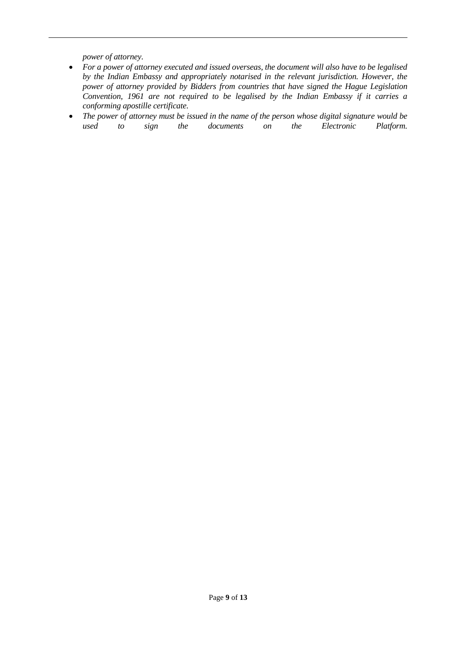*power of attorney.*

- *For a power of attorney executed and issued overseas, the document will also have to be legalised by the Indian Embassy and appropriately notarised in the relevant jurisdiction. However, the power of attorney provided by Bidders from countries that have signed the Hague Legislation Convention, 1961 are not required to be legalised by the Indian Embassy if it carries a conforming apostille certificate.*
- *The power of attorney must be issued in the name of the person whose digital signature would be used to sign the documents on the Electronic Platform.*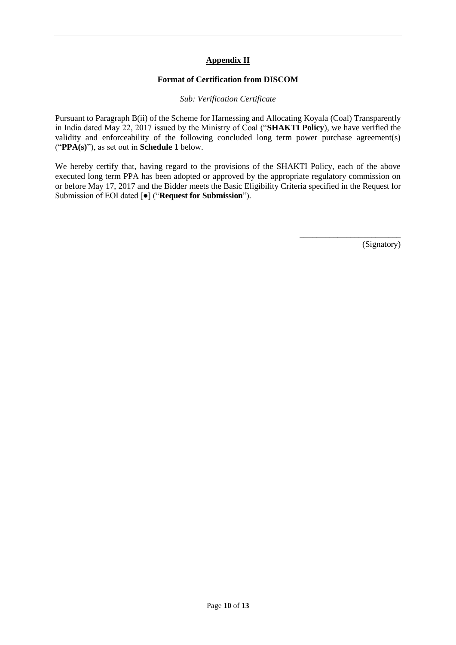## **Appendix II**

#### **Format of Certification from DISCOM**

*Sub: Verification Certificate*

Pursuant to Paragraph B(ii) of the Scheme for Harnessing and Allocating Koyala (Coal) Transparently in India dated May 22, 2017 issued by the Ministry of Coal ("**SHAKTI Policy**), we have verified the validity and enforceability of the following concluded long term power purchase agreement(s) ("**PPA(s)**"), as set out in **Schedule 1** below.

We hereby certify that, having regard to the provisions of the SHAKTI Policy, each of the above executed long term PPA has been adopted or approved by the appropriate regulatory commission on or before May 17, 2017 and the Bidder meets the Basic Eligibility Criteria specified in the Request for Submission of EOI dated [●] ("**Request for Submission**").

(Signatory)

\_\_\_\_\_\_\_\_\_\_\_\_\_\_\_\_\_\_\_\_\_\_\_\_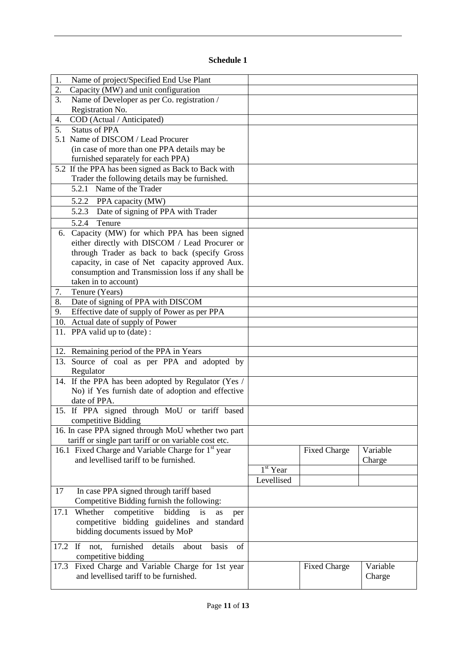## **Schedule 1**

| Name of project/Specified End Use Plant<br>1.                      |            |                     |          |
|--------------------------------------------------------------------|------------|---------------------|----------|
| 2.<br>Capacity (MW) and unit configuration                         |            |                     |          |
| Name of Developer as per Co. registration /<br>3.                  |            |                     |          |
| Registration No.                                                   |            |                     |          |
| COD (Actual / Anticipated)<br>4.                                   |            |                     |          |
| 5.<br><b>Status of PPA</b>                                         |            |                     |          |
| 5.1 Name of DISCOM / Lead Procurer                                 |            |                     |          |
| (in case of more than one PPA details may be                       |            |                     |          |
| furnished separately for each PPA)                                 |            |                     |          |
| 5.2 If the PPA has been signed as Back to Back with                |            |                     |          |
| Trader the following details may be furnished.                     |            |                     |          |
| 5.2.1 Name of the Trader                                           |            |                     |          |
| 5.2.2 PPA capacity (MW)                                            |            |                     |          |
|                                                                    |            |                     |          |
| Date of signing of PPA with Trader<br>5.2.3                        |            |                     |          |
| 5.2.4<br>Tenure                                                    |            |                     |          |
| 6. Capacity (MW) for which PPA has been signed                     |            |                     |          |
| either directly with DISCOM / Lead Procurer or                     |            |                     |          |
| through Trader as back to back (specify Gross                      |            |                     |          |
| capacity, in case of Net capacity approved Aux.                    |            |                     |          |
| consumption and Transmission loss if any shall be                  |            |                     |          |
| taken in to account)                                               |            |                     |          |
| Tenure (Years)<br>7.                                               |            |                     |          |
| 8.<br>Date of signing of PPA with DISCOM                           |            |                     |          |
| Effective date of supply of Power as per PPA<br>9.                 |            |                     |          |
| 10. Actual date of supply of Power                                 |            |                     |          |
| 11. PPA valid up to (date):                                        |            |                     |          |
|                                                                    |            |                     |          |
| 12. Remaining period of the PPA in Years                           |            |                     |          |
|                                                                    |            |                     |          |
| 13. Source of coal as per PPA and adopted by                       |            |                     |          |
| Regulator                                                          |            |                     |          |
| 14. If the PPA has been adopted by Regulator (Yes /                |            |                     |          |
| No) if Yes furnish date of adoption and effective                  |            |                     |          |
| date of PPA.                                                       |            |                     |          |
| 15. If PPA signed through MoU or tariff based                      |            |                     |          |
| competitive Bidding                                                |            |                     |          |
| 16. In case PPA signed through MoU whether two part                |            |                     |          |
| tariff or single part tariff or on variable cost etc.              |            |                     |          |
| 16.1 Fixed Charge and Variable Charge for 1 <sup>st</sup> year     |            | <b>Fixed Charge</b> | Variable |
| and levellised tariff to be furnished.                             |            |                     | Charge   |
|                                                                    | $1st$ Year |                     |          |
|                                                                    | Levellised |                     |          |
| In case PPA signed through tariff based<br>17                      |            |                     |          |
| Competitive Bidding furnish the following:                         |            |                     |          |
| Whether<br>competitive<br>bidding<br>is<br>17.1                    |            |                     |          |
| as<br>per<br>competitive bidding guidelines and standard           |            |                     |          |
|                                                                    |            |                     |          |
| bidding documents issued by MoP                                    |            |                     |          |
| furnished<br>details<br>If<br>basis<br>of<br>17.2<br>not,<br>about |            |                     |          |
| competitive bidding                                                |            |                     |          |
| Fixed Charge and Variable Charge for 1st year<br>17.3              |            | <b>Fixed Charge</b> | Variable |
| and levellised tariff to be furnished.                             |            |                     | Charge   |
|                                                                    |            |                     |          |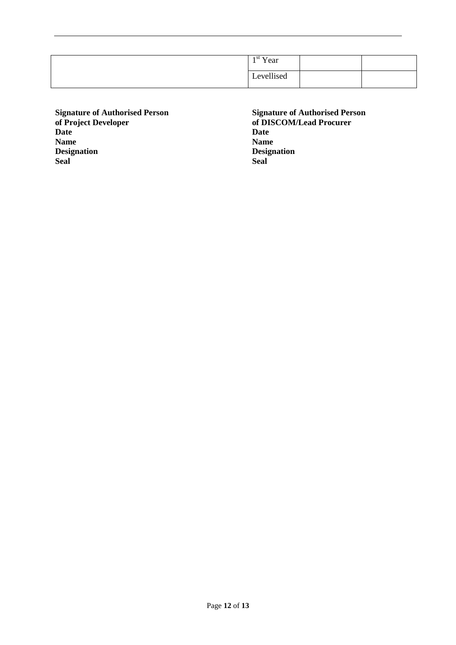| $1st$ Year |  |
|------------|--|
| Levellised |  |

**Signature of Authorised Person of Project Developer Date Name Designation Seal**

**Signature of Authorised Person of DISCOM/Lead Procurer Date Name Designation Seal**